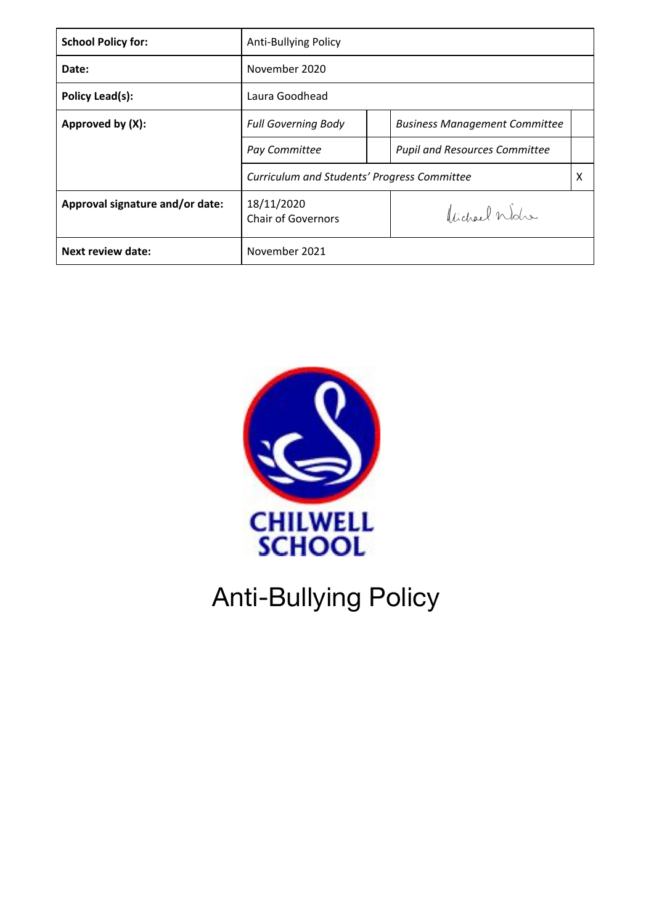| <b>School Policy for:</b>       | <b>Anti-Bullying Policy</b>                 |  |                                      |   |
|---------------------------------|---------------------------------------------|--|--------------------------------------|---|
| Date:                           | November 2020                               |  |                                      |   |
| Policy Lead(s):                 | Laura Goodhead                              |  |                                      |   |
| Approved by (X):                | <b>Full Governing Body</b>                  |  | <b>Business Management Committee</b> |   |
|                                 | Pay Committee                               |  | <b>Pupil and Resources Committee</b> |   |
|                                 | Curriculum and Students' Progress Committee |  |                                      | X |
| Approval signature and/or date: | 18/11/2020<br><b>Chair of Governors</b>     |  | Vidgel Wolfe                         |   |
| <b>Next review date:</b>        | November 2021                               |  |                                      |   |



# Anti-Bullying Policy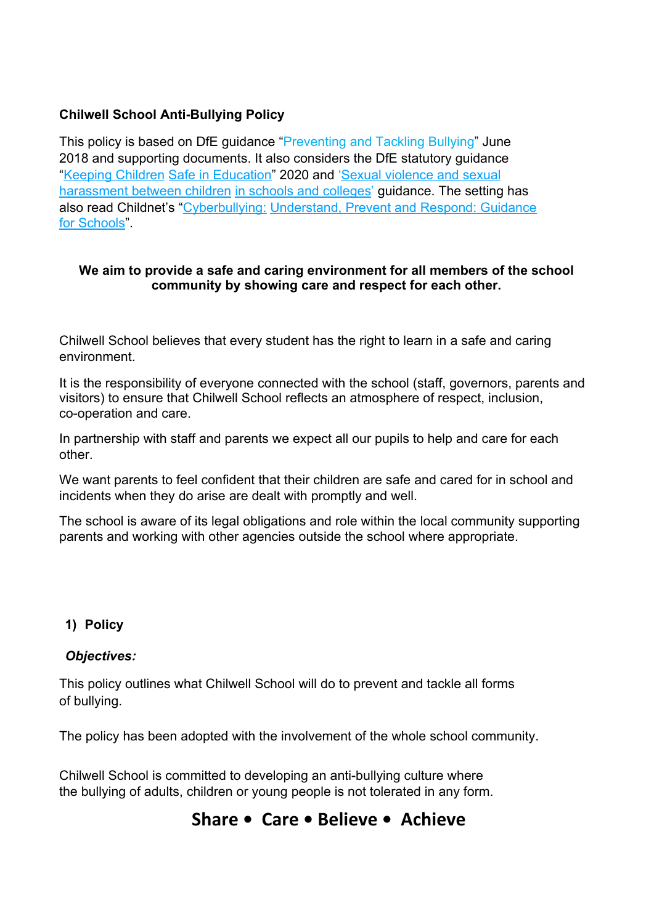## **Chilwell School Anti-Bullying Policy**

This policy is based on DfE guidance ["Preventing and Tackling Bullying](https://www.gov.uk/government/publications/approaches-to-preventing-and-tackling-bullying)" June 2018 and supporting documents. It also considers the DfE statutory guidance ["Keeping Children](https://www.gov.uk/government/publications/keeping-children-safe-in-education--2) [Safe in Education"](https://www.gov.uk/government/publications/keeping-children-safe-in-education--2) 2020 and ['Sexual violence and sexual](https://www.gov.uk/government/publications/sexual-violence-and-sexual-harassment-between-children-in-schools-and-colleges) [harassment between children](https://www.gov.uk/government/publications/sexual-violence-and-sexual-harassment-between-children-in-schools-and-colleges) [in schools and colleges' g](https://www.gov.uk/government/publications/sexual-violence-and-sexual-harassment-between-children-in-schools-and-colleges)uidance. The setting has also read Childnet's "Cyberbullying: Understand, Prevent and Respond: Guidance for Schools"

#### **We aim to provide a safe and caring environment for all members of the school community by showing care and respect for each other.**

Chilwell School believes that every student has the right to learn in a safe and caring environment.

It is the responsibility of everyone connected with the school (staff, governors, parents and visitors) to ensure that Chilwell School reflects an atmosphere of respect, inclusion, co-operation and care.

In partnership with staff and parents we expect all our pupils to help and care for each other.

We want parents to feel confident that their children are safe and cared for in school and incidents when they do arise are dealt with promptly and well.

The school is aware of its legal obligations and role within the local community supporting parents and working with other agencies outside the school where appropriate.

#### **1) Policy**

#### *Objectives:*

This policy outlines what Chilwell School will do to prevent and tackle all forms of bullying.

The policy has been adopted with the involvement of the whole school community.

Chilwell School is committed to developing an anti-bullying culture where the bullying of adults, children or young people is not tolerated in any form.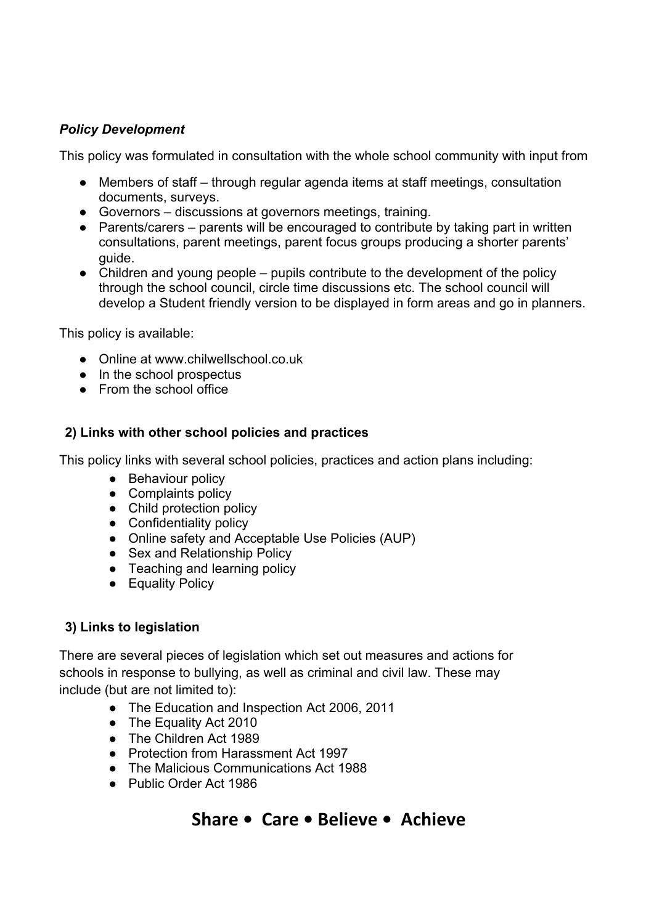#### *Policy Development*

This policy was formulated in consultation with the whole school community with input from

- Members of staff through regular agenda items at staff meetings, consultation documents, surveys.
- Governors discussions at governors meetings, training.
- Parents/carers parents will be encouraged to contribute by taking part in written consultations, parent meetings, parent focus groups producing a shorter parents' guide.
- Children and young people pupils contribute to the development of the policy through the school council, circle time discussions etc. The school council will develop a Student friendly version to be displayed in form areas and go in planners.

This policy is available:

- Online at www.chilwellschool.co.uk
- In the school prospectus
- From the school office

#### **2) Links with other school policies and practices**

This policy links with several school policies, practices and action plans including:

- Behaviour policy
- Complaints policy
- Child protection policy
- Confidentiality policy
- Online safety and Acceptable Use Policies (AUP)
- Sex and Relationship Policy
- Teaching and learning policy
- Equality Policy

#### **3) Links to legislation**

There are several pieces of legislation which set out measures and actions for schools in response to bullying, as well as criminal and civil law. These may include (but are not limited to):

- The Education and Inspection Act 2006, 2011
- The Equality Act 2010
- The Children Act 1989
- Protection from Harassment Act 1997
- The Malicious Communications Act 1988
- Public Order Act 1986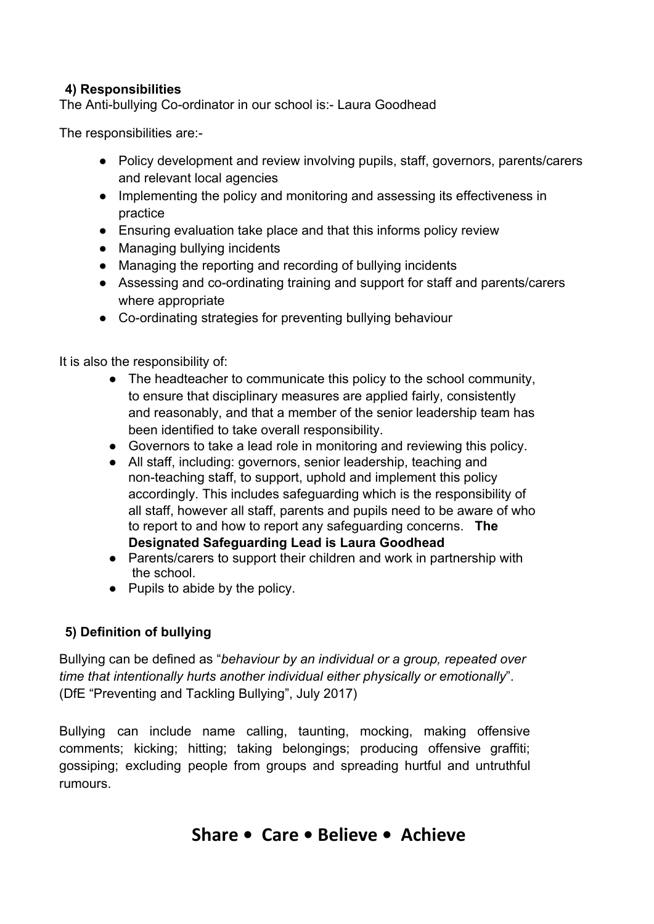# **4) Responsibilities**

The Anti-bullying Co-ordinator in our school is:- Laura Goodhead

The responsibilities are:-

- Policy development and review involving pupils, staff, governors, parents/carers and relevant local agencies
- Implementing the policy and monitoring and assessing its effectiveness in practice
- Ensuring evaluation take place and that this informs policy review
- Managing bullying incidents
- Managing the reporting and recording of bullying incidents
- Assessing and co-ordinating training and support for staff and parents/carers where appropriate
- Co-ordinating strategies for preventing bullying behaviour

It is also the responsibility of:

- The headteacher to communicate this policy to the school community, to ensure that disciplinary measures are applied fairly, consistently and reasonably, and that a member of the senior leadership team has been identified to take overall responsibility.
- Governors to take a lead role in monitoring and reviewing this policy.
- All staff, including: governors, senior leadership, teaching and non-teaching staff, to support, uphold and implement this policy accordingly. This includes safeguarding which is the responsibility of all staff, however all staff, parents and pupils need to be aware of who to report to and how to report any safeguarding concerns. **The Designated Safeguarding Lead is Laura Goodhead**
- Parents/carers to support their children and work in partnership with the school.
- Pupils to abide by the policy.

# **5) Definition of bullying**

Bullying can be defined as "*behaviour by an individual or a group, repeated over time that intentionally hurts another individual either physically or emotionally*". (DfE "Preventing and Tackling Bullying", July 2017)

Bullying can include name calling, taunting, mocking, making offensive comments; kicking; hitting; taking belongings; producing offensive graffiti; gossiping; excluding people from groups and spreading hurtful and untruthful rumours.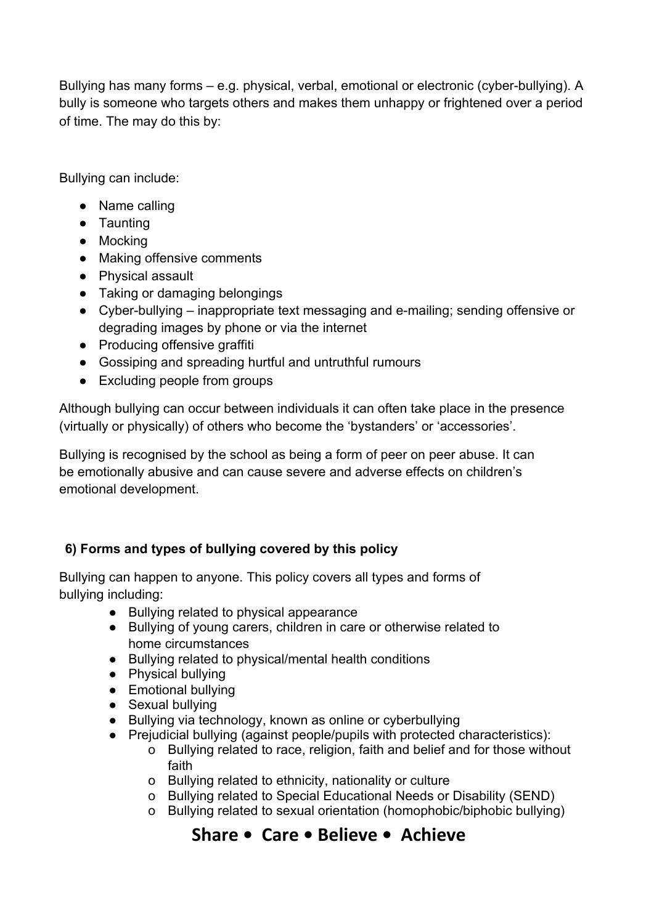Bullying has many forms – e.g. physical, verbal, emotional or electronic (cyber-bullying). A bully is someone who targets others and makes them unhappy or frightened over a period of time. The may do this by:

Bullying can include:

- Name calling
- Taunting
- Mocking
- Making offensive comments
- Physical assault
- Taking or damaging belongings
- Cyber-bullying inappropriate text messaging and e-mailing; sending offensive or degrading images by phone or via the internet
- Producing offensive graffiti
- Gossiping and spreading hurtful and untruthful rumours
- Excluding people from groups

Although bullying can occur between individuals it can often take place in the presence (virtually or physically) of others who become the 'bystanders' or 'accessories'.

Bullying is recognised by the school as being a form of peer on peer abuse. It can be emotionally abusive and can cause severe and adverse effects on children's emotional development.

# **6) Forms and types of bullying covered by this policy**

Bullying can happen to anyone. This policy covers all types and forms of bullying including:

- Bullying related to physical appearance
- Bullying of young carers, children in care or otherwise related to home circumstances
- Bullying related to physical/mental health conditions
- Physical bullying
- Emotional bullying
- Sexual bullying
- Bullying via technology, known as online or cyberbullying
- Prejudicial bullying (against people/pupils with protected characteristics):
	- o Bullying related to race, religion, faith and belief and for those without faith
	- o Bullying related to ethnicity, nationality or culture
	- o Bullying related to Special Educational Needs or Disability (SEND)
	- o Bullying related to sexual orientation (homophobic/biphobic bullying)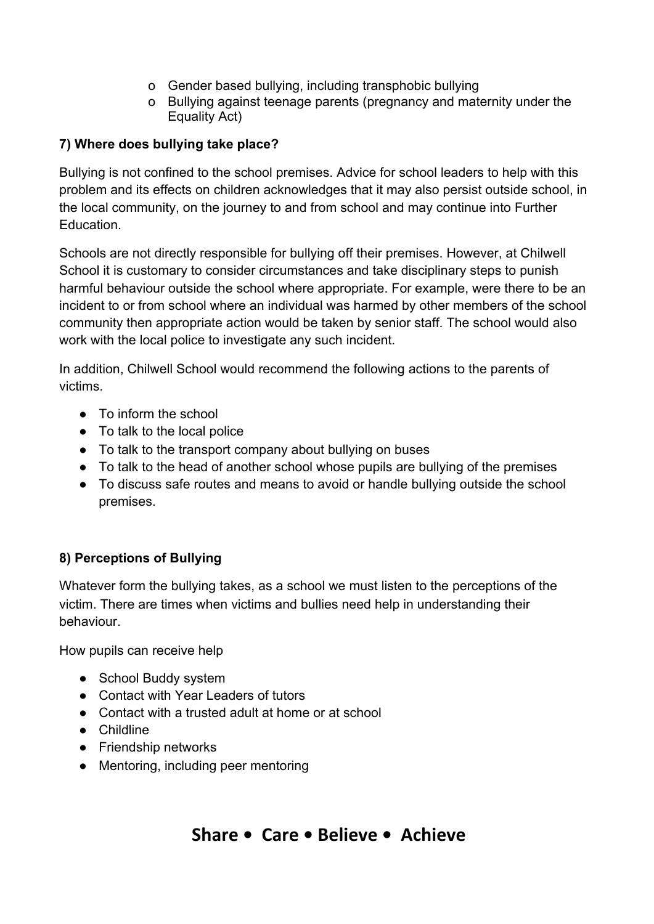- o Gender based bullying, including transphobic bullying
- o Bullying against teenage parents (pregnancy and maternity under the Equality Act)

# **7) Where does bullying take place?**

Bullying is not confined to the school premises. Advice for school leaders to help with this problem and its effects on children acknowledges that it may also persist outside school, in the local community, on the journey to and from school and may continue into Further Education.

Schools are not directly responsible for bullying off their premises. However, at Chilwell School it is customary to consider circumstances and take disciplinary steps to punish harmful behaviour outside the school where appropriate. For example, were there to be an incident to or from school where an individual was harmed by other members of the school community then appropriate action would be taken by senior staff. The school would also work with the local police to investigate any such incident.

In addition, Chilwell School would recommend the following actions to the parents of victims.

- To inform the school
- To talk to the local police
- To talk to the transport company about bullying on buses
- To talk to the head of another school whose pupils are bullying of the premises
- To discuss safe routes and means to avoid or handle bullying outside the school premises.

# **8) Perceptions of Bullying**

Whatever form the bullying takes, as a school we must listen to the perceptions of the victim. There are times when victims and bullies need help in understanding their behaviour.

How pupils can receive help

- School Buddy system
- Contact with Year Leaders of tutors
- Contact with a trusted adult at home or at school
- Childline
- Friendship networks
- Mentoring, including peer mentoring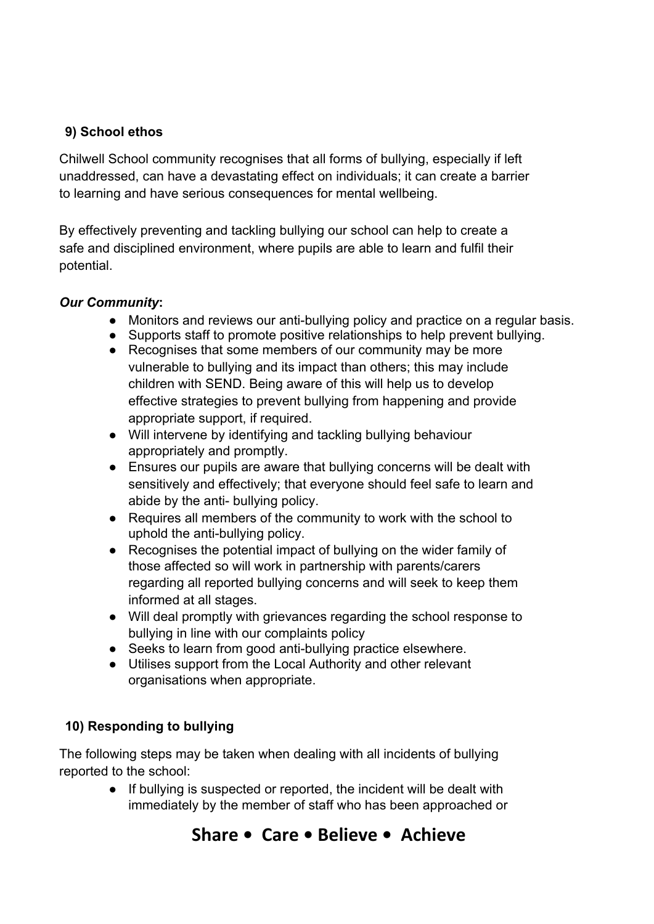#### **9) School ethos**

Chilwell School community recognises that all forms of bullying, especially if left unaddressed, can have a devastating effect on individuals; it can create a barrier to learning and have serious consequences for mental wellbeing.

By effectively preventing and tackling bullying our school can help to create a safe and disciplined environment, where pupils are able to learn and fulfil their potential.

#### *Our Community***:**

- Monitors and reviews our anti-bullying policy and practice on a regular basis.
- Supports staff to promote positive relationships to help prevent bullying.
- Recognises that some members of our community may be more vulnerable to bullying and its impact than others; this may include children with SEND. Being aware of this will help us to develop effective strategies to prevent bullying from happening and provide appropriate support, if required.
- Will intervene by identifying and tackling bullying behaviour appropriately and promptly.
- Ensures our pupils are aware that bullying concerns will be dealt with sensitively and effectively; that everyone should feel safe to learn and abide by the anti- bullying policy.
- Requires all members of the community to work with the school to uphold the anti-bullying policy.
- Recognises the potential impact of bullying on the wider family of those affected so will work in partnership with parents/carers regarding all reported bullying concerns and will seek to keep them informed at all stages.
- Will deal promptly with grievances regarding the school response to bullying in line with our complaints policy
- Seeks to learn from good anti-bullying practice elsewhere.
- Utilises support from the Local Authority and other relevant organisations when appropriate.

# **10) Responding to bullying**

The following steps may be taken when dealing with all incidents of bullying reported to the school:

> ● If bullying is suspected or reported, the incident will be dealt with immediately by the member of staff who has been approached or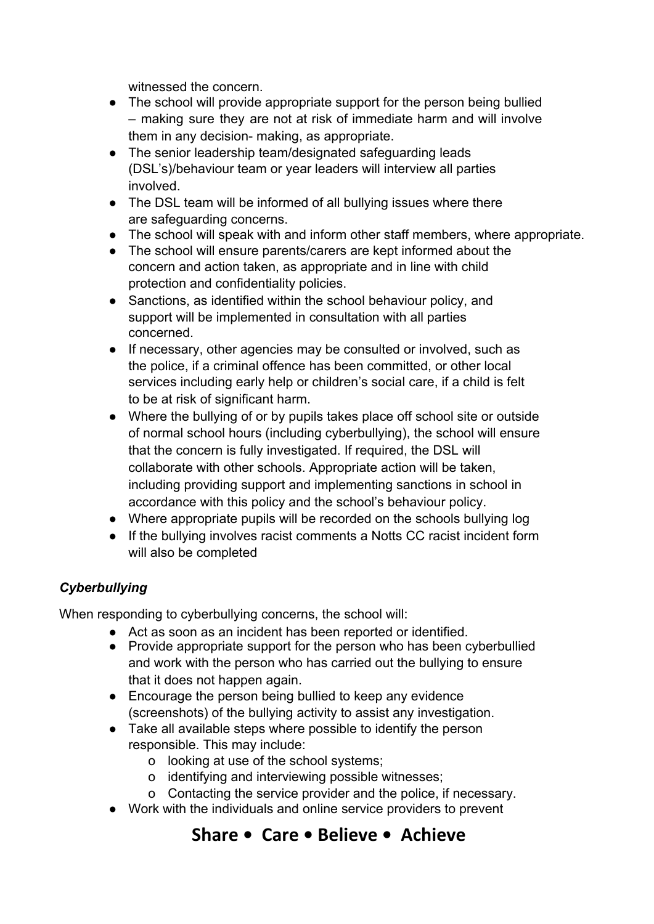witnessed the concern.

- The school will provide appropriate support for the person being bullied – making sure they are not at risk of immediate harm and will involve them in any decision- making, as appropriate.
- The senior leadership team/designated safeguarding leads (DSL's)/behaviour team or year leaders will interview all parties involved.
- The DSL team will be informed of all bullying issues where there are safeguarding concerns.
- The school will speak with and inform other staff members, where appropriate.
- The school will ensure parents/carers are kept informed about the concern and action taken, as appropriate and in line with child protection and confidentiality policies.
- Sanctions, as identified within the school behaviour policy, and support will be implemented in consultation with all parties concerned.
- If necessary, other agencies may be consulted or involved, such as the police, if a criminal offence has been committed, or other local services including early help or children's social care, if a child is felt to be at risk of significant harm.
- Where the bullying of or by pupils takes place off school site or outside of normal school hours (including cyberbullying), the school will ensure that the concern is fully investigated. If required, the DSL will collaborate with other schools. Appropriate action will be taken, including providing support and implementing sanctions in school in accordance with this policy and the school's behaviour policy.
- Where appropriate pupils will be recorded on the schools bullying log
- If the bullying involves racist comments a Notts CC racist incident form will also be completed

# *Cyberbullying*

When responding to cyberbullying concerns, the school will:

- Act as soon as an incident has been reported or identified.
- Provide appropriate support for the person who has been cyberbullied and work with the person who has carried out the bullying to ensure that it does not happen again.
- Encourage the person being bullied to keep any evidence (screenshots) of the bullying activity to assist any investigation.
- Take all available steps where possible to identify the person responsible. This may include:
	- o looking at use of the school systems;
	- o identifying and interviewing possible witnesses;
	- o Contacting the service provider and the police, if necessary.
- Work with the individuals and online service providers to prevent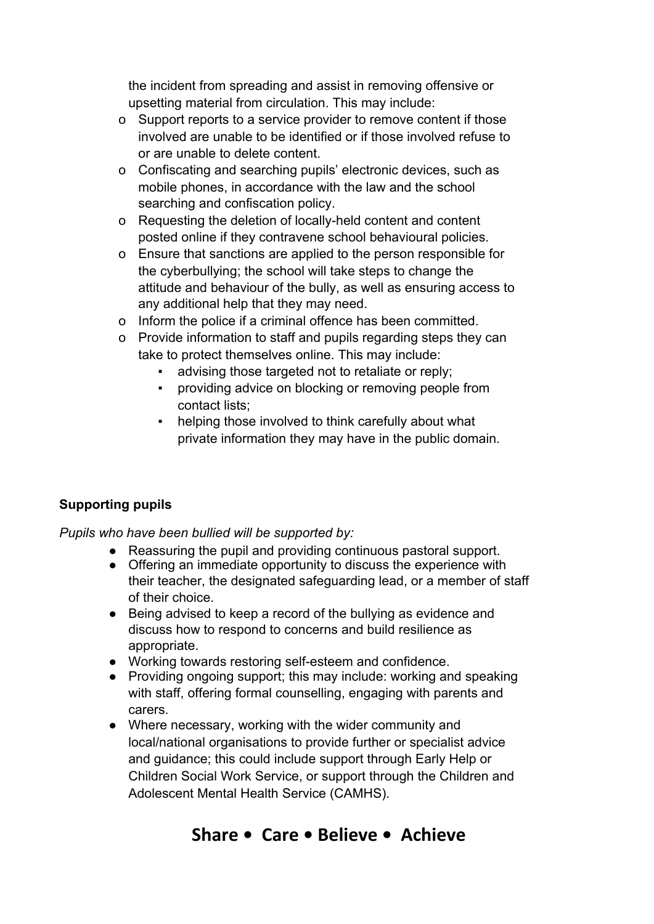the incident from spreading and assist in removing offensive or upsetting material from circulation. This may include:

- o Support reports to a service provider to remove content if those involved are unable to be identified or if those involved refuse to or are unable to delete content.
- o Confiscating and searching pupils' electronic devices, such as mobile phones, in accordance with the law and the school searching and confiscation policy.
- o Requesting the deletion of locally-held content and content posted online if they contravene school behavioural policies.
- o Ensure that sanctions are applied to the person responsible for the cyberbullying; the school will take steps to change the attitude and behaviour of the bully, as well as ensuring access to any additional help that they may need.
- o Inform the police if a criminal offence has been committed.
- o Provide information to staff and pupils regarding steps they can take to protect themselves online. This may include:
	- advising those targeted not to retaliate or reply;
	- providing advice on blocking or removing people from contact lists;
	- helping those involved to think carefully about what private information they may have in the public domain.

# **Supporting pupils**

*Pupils who have been bullied will be supported by:*

- Reassuring the pupil and providing continuous pastoral support.
- Offering an immediate opportunity to discuss the experience with their teacher, the designated safeguarding lead, or a member of staff of their choice.
- Being advised to keep a record of the bullying as evidence and discuss how to respond to concerns and build resilience as appropriate.
- Working towards restoring self-esteem and confidence.
- Providing ongoing support; this may include: working and speaking with staff, offering formal counselling, engaging with parents and carers.
- Where necessary, working with the wider community and local/national organisations to provide further or specialist advice and guidance; this could include support through Early Help or Children Social Work Service, or support through the Children and Adolescent Mental Health Service (CAMHS).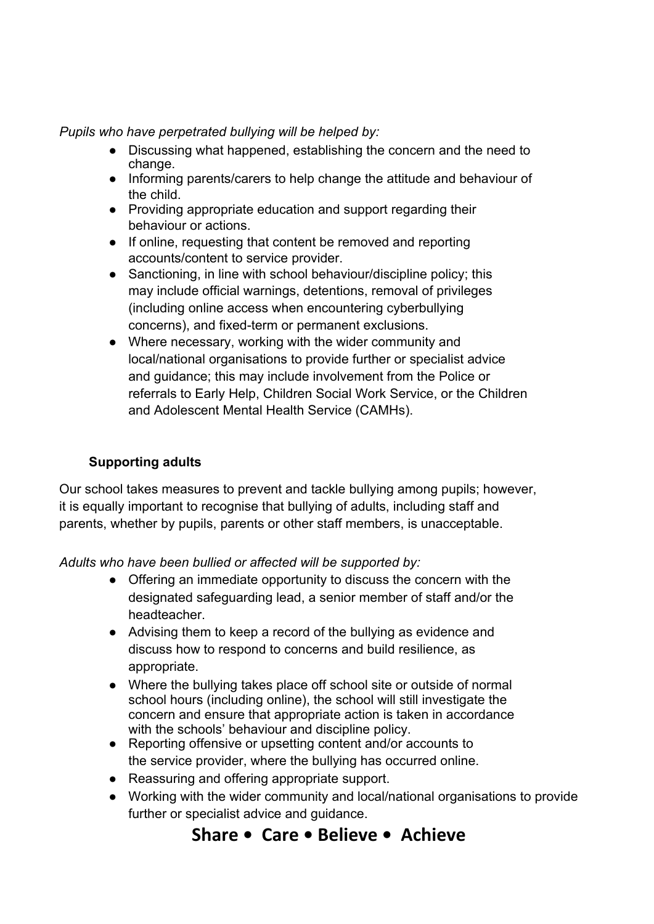*Pupils who have perpetrated bullying will be helped by:*

- Discussing what happened, establishing the concern and the need to change.
- Informing parents/carers to help change the attitude and behaviour of the child.
- Providing appropriate education and support regarding their behaviour or actions.
- If online, requesting that content be removed and reporting accounts/content to service provider.
- Sanctioning, in line with school behaviour/discipline policy; this may include official warnings, detentions, removal of privileges (including online access when encountering cyberbullying concerns), and fixed-term or permanent exclusions.
- Where necessary, working with the wider community and local/national organisations to provide further or specialist advice and guidance; this may include involvement from the Police or referrals to Early Help, Children Social Work Service, or the Children and Adolescent Mental Health Service (CAMHs).

## **Supporting adults**

Our school takes measures to prevent and tackle bullying among pupils; however, it is equally important to recognise that bullying of adults, including staff and parents, whether by pupils, parents or other staff members, is unacceptable.

*Adults who have been bullied or affected will be supported by:*

- Offering an immediate opportunity to discuss the concern with the designated safeguarding lead, a senior member of staff and/or the headteacher.
- Advising them to keep a record of the bullying as evidence and discuss how to respond to concerns and build resilience, as appropriate.
- Where the bullying takes place off school site or outside of normal school hours (including online), the school will still investigate the concern and ensure that appropriate action is taken in accordance with the schools' behaviour and discipline policy.
- Reporting offensive or upsetting content and/or accounts to the service provider, where the bullying has occurred online.
- Reassuring and offering appropriate support.
- Working with the wider community and local/national organisations to provide further or specialist advice and guidance.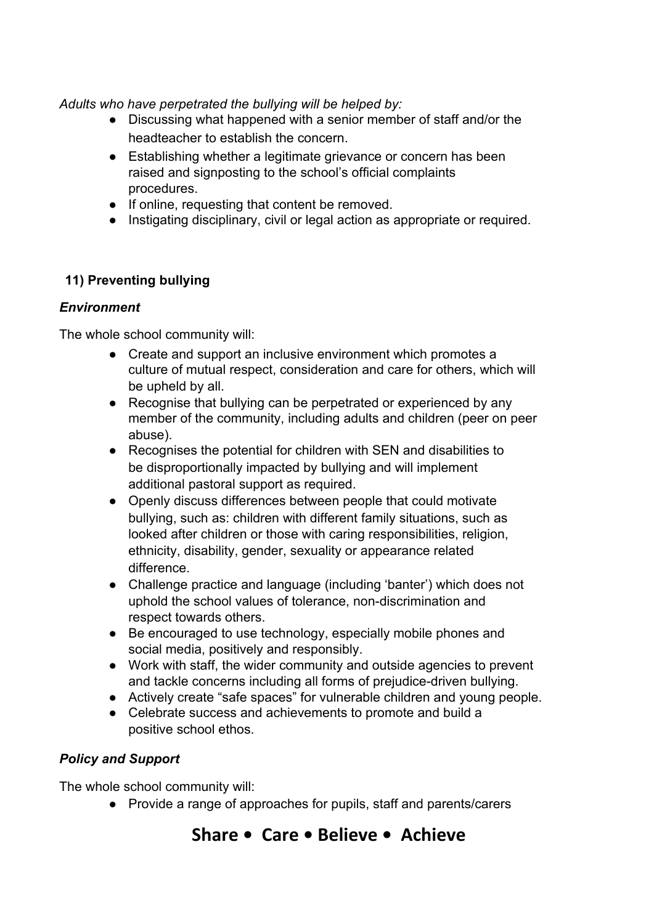*Adults who have perpetrated the bullying will be helped by:*

- Discussing what happened with a senior member of staff and/or the headteacher to establish the concern.
- Establishing whether a legitimate grievance or concern has been raised and signposting to the school's official complaints procedures.
- If online, requesting that content be removed.
- Instigating disciplinary, civil or legal action as appropriate or required.

# **11) Preventing bullying**

# *Environment*

The whole school community will:

- Create and support an inclusive environment which promotes a culture of mutual respect, consideration and care for others, which will be upheld by all.
- Recognise that bullying can be perpetrated or experienced by any member of the community, including adults and children (peer on peer abuse).
- Recognises the potential for children with SEN and disabilities to be disproportionally impacted by bullying and will implement additional pastoral support as required.
- Openly discuss differences between people that could motivate bullying, such as: children with different family situations, such as looked after children or those with caring responsibilities, religion, ethnicity, disability, gender, sexuality or appearance related difference.
- Challenge practice and language (including 'banter') which does not uphold the school values of tolerance, non-discrimination and respect towards others.
- Be encouraged to use technology, especially mobile phones and social media, positively and responsibly.
- Work with staff, the wider community and outside agencies to prevent and tackle concerns including all forms of prejudice-driven bullying.
- Actively create "safe spaces" for vulnerable children and young people.
- Celebrate success and achievements to promote and build a positive school ethos.

# *Policy and Support*

The whole school community will:

● Provide a range of approaches for pupils, staff and parents/carers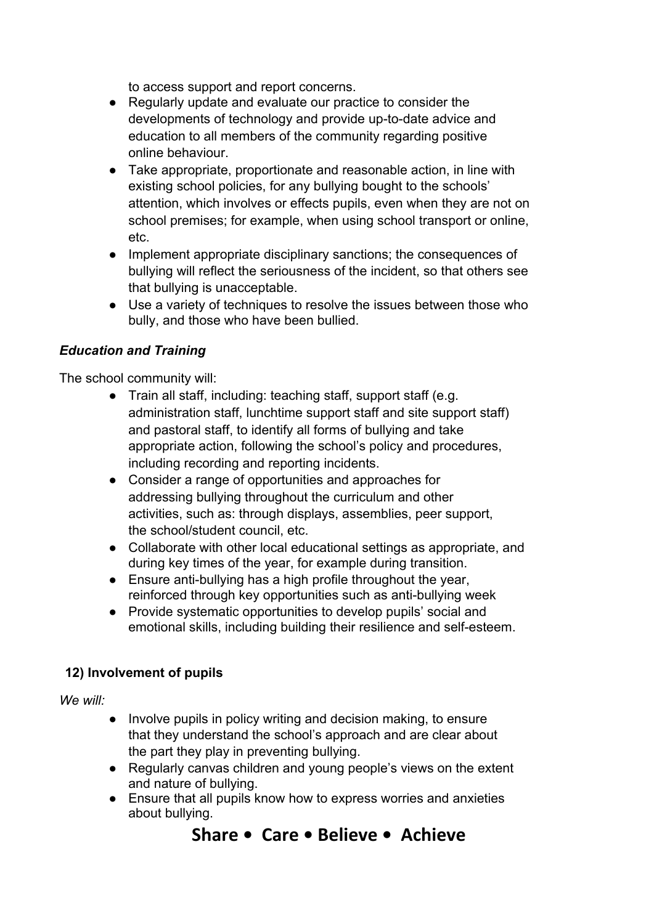to access support and report concerns.

- Regularly update and evaluate our practice to consider the developments of technology and provide up-to-date advice and education to all members of the community regarding positive online behaviour.
- Take appropriate, proportionate and reasonable action, in line with existing school policies, for any bullying bought to the schools' attention, which involves or effects pupils, even when they are not on school premises; for example, when using school transport or online, etc.
- Implement appropriate disciplinary sanctions; the consequences of bullying will reflect the seriousness of the incident, so that others see that bullying is unacceptable.
- Use a variety of techniques to resolve the issues between those who bully, and those who have been bullied.

#### *Education and Training*

The school community will:

- Train all staff, including: teaching staff, support staff (e.g. administration staff, lunchtime support staff and site support staff) and pastoral staff, to identify all forms of bullying and take appropriate action, following the school's policy and procedures, including recording and reporting incidents.
- Consider a range of opportunities and approaches for addressing bullying throughout the curriculum and other activities, such as: through displays, assemblies, peer support, the school/student council, etc.
- Collaborate with other local educational settings as appropriate, and during key times of the year, for example during transition.
- Ensure anti-bullying has a high profile throughout the year, reinforced through key opportunities such as anti-bullying week
- Provide systematic opportunities to develop pupils' social and emotional skills, including building their resilience and self-esteem.

#### **12) Involvement of pupils**

*We will:*

- Involve pupils in policy writing and decision making, to ensure that they understand the school's approach and are clear about the part they play in preventing bullying.
- Regularly canvas children and young people's views on the extent and nature of bullying.
- Ensure that all pupils know how to express worries and anxieties about bullying.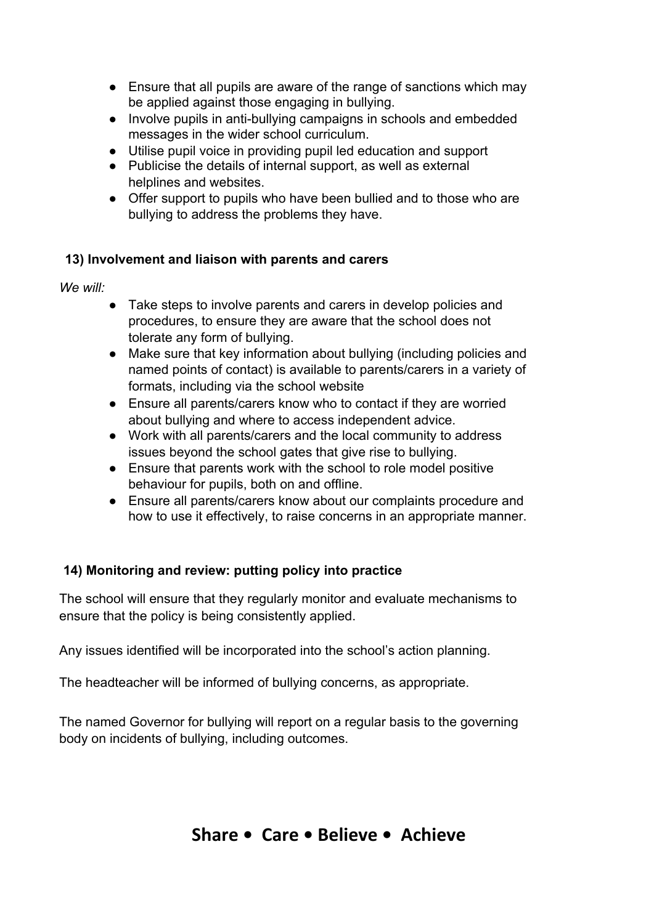- Ensure that all pupils are aware of the range of sanctions which may be applied against those engaging in bullying.
- Involve pupils in anti-bullying campaigns in schools and embedded messages in the wider school curriculum.
- Utilise pupil voice in providing pupil led education and support
- Publicise the details of internal support, as well as external helplines and websites.
- Offer support to pupils who have been bullied and to those who are bullying to address the problems they have.

#### **13) Involvement and liaison with parents and carers**

*We will:*

- Take steps to involve parents and carers in develop policies and procedures, to ensure they are aware that the school does not tolerate any form of bullying.
- Make sure that key information about bullying (including policies and named points of contact) is available to parents/carers in a variety of formats, including via the school website
- Ensure all parents/carers know who to contact if they are worried about bullying and where to access independent advice.
- Work with all parents/carers and the local community to address issues beyond the school gates that give rise to bullying.
- Ensure that parents work with the school to role model positive behaviour for pupils, both on and offline.
- Ensure all parents/carers know about our complaints procedure and how to use it effectively, to raise concerns in an appropriate manner.

# **14) Monitoring and review: putting policy into practice**

The school will ensure that they regularly monitor and evaluate mechanisms to ensure that the policy is being consistently applied.

Any issues identified will be incorporated into the school's action planning.

The headteacher will be informed of bullying concerns, as appropriate.

The named Governor for bullying will report on a regular basis to the governing body on incidents of bullying, including outcomes.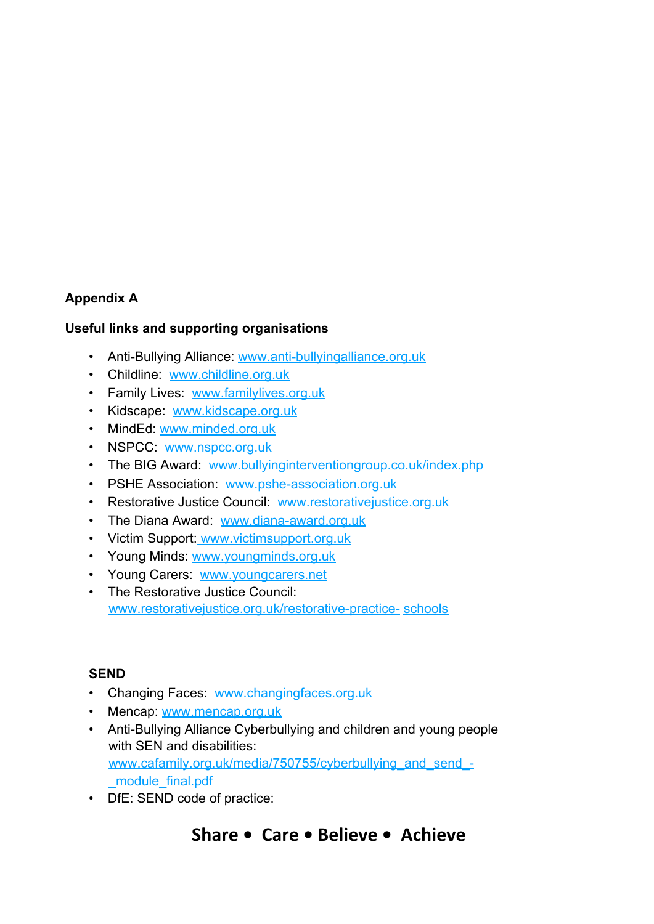# **Appendix A**

#### **Useful links and supporting organisations**

- Anti-Bullying Alliance: [www.anti-bullyingalliance.org.uk](http://www.anti-bullyingalliance.org.uk/)
- Childline: [www.childline.org.uk](http://www.childline.org.uk/)
- Family Lives: [www.familylives.org.uk](http://www.familylives.org.uk/)
- Kidscape: [www.kidscape.org.uk](http://www.kidscape.org.uk/)
- MindEd [www.minded.org.uk](http://www.minded.org.uk/)
- NSPCC [www.nspcc.org.uk](http://www.nspcc.org.uk/)
- The BIG Award: [www.bullyinginterventiongroup.co.uk/index.php](https://www.bullyinginterventiongroup.co.uk/index.php)
- PSHE Association: [www.pshe-association.org.uk](http://www.pshe-association.org.uk/)
- Restorative Justice Council: [www.restorativejustice.org.uk](http://www.restorativejustice.org.uk/)
- The Diana Award: [www.diana-award.org.uk](http://www.diana-award.org.uk/)
- Victim Support[: www.victimsupport.org.uk](http://www.victimsupport.org.uk/)
- Young Minds: [www.youngminds.org.uk](http://www.youngminds.org.uk/)
- Young Carers: [www.youngcarers.net](http://www.youngcarers.net/)
- The Restorative Justice Council: [www.restorativejustice.org.uk/restorative-practice-](http://www.restorativejustice.org.uk/restorative-practice-schools) [schools](http://www.restorativejustice.org.uk/restorative-practice-schools)

#### **SEND**

- Changing Faces: [www.changingfaces.org.uk](http://www.changingfaces.org.uk/)
- Mencap [www.mencap.org.uk](http://www.mencap.org.uk/)
- Anti-Bullying Alliance Cyberbullying and children and young people with SEN and disabilities: [www.cafamily.org.uk/media/750755/cyberbullying\\_and\\_send\\_-](http://www.cafamily.org.uk/media/750755/cyberbullying_and_send_-_module_final.pdf) [\\_module\\_final.pdf](http://www.cafamily.org.uk/media/750755/cyberbullying_and_send_-_module_final.pdf)
- DfE: SEND code of practice: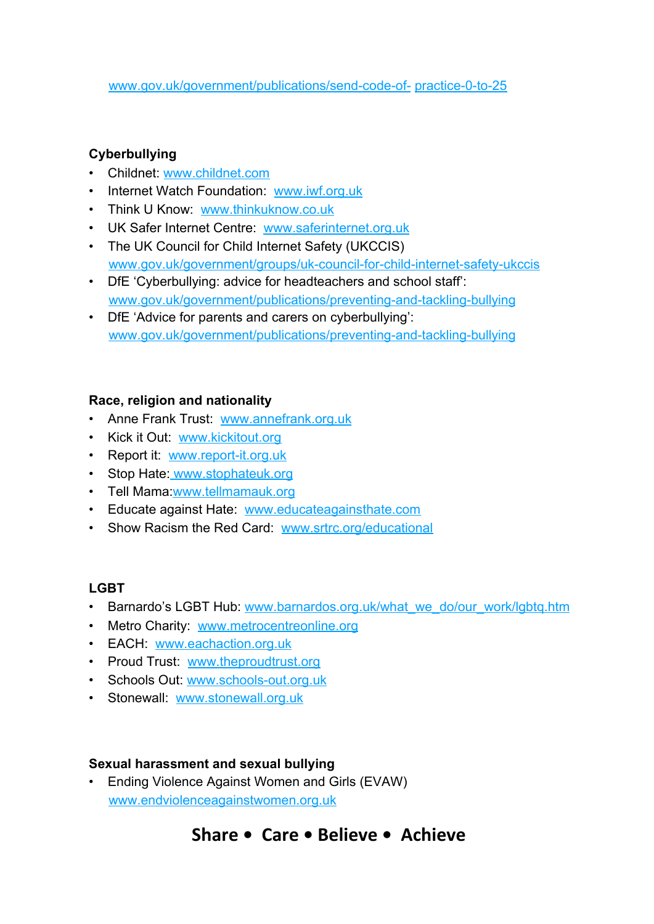[www.gov.uk/government/publications/send-code-of-](https://www.gov.uk/government/publications/send-code-of-practice-0-to-25) [practice-0-to-25](https://www.gov.uk/government/publications/send-code-of-practice-0-to-25)

## **Cyberbullying**

- Childnet: [www.childnet.com](http://www.childnet.com/)
- Internet Watch Foundation: [www.iwf.org.uk](http://www.iwf.org.uk/)
- Think U Know: [www.thinkuknow.co.uk](http://www.thinkuknow.co.uk/)
- UK Safer Internet Centre: [www.saferinternet.org.uk](http://www.saferinternet.org.uk/)
- The UK Council for Child Internet Safety (UKCCIS) [www.gov.uk/government/groups/uk-council-for-child-internet-safety-ukccis](http://www.gov.uk/government/groups/uk-council-for-child-internet-safety-ukccis)
- DfE 'Cyberbullying: advice for headteachers and school staff': [www.gov.uk/government/publications/preventing-and-tackling-bullying](http://www.gov.uk/government/publications/preventing-and-tackling-bullying)
- DfE 'Advice for parents and carers on cyberbullying': [www.gov.uk/government/publications/preventing-and-tackling-bullying](http://www.gov.uk/government/publications/preventing-and-tackling-bullying)

#### **Race, religion and nationality**

- Anne Frank Trust: [www.annefrank.org.uk](http://www.annefrank.org.uk/)
- Kick it Out: [www.kickitout.org](http://www.kickitout.org/)
- Report it: [www.report-it.org.uk](http://www.report-it.org.uk/)
- Stop Hate[: www.stophateuk.org](http://www.stophateuk.org/)
- Tell Mama: [www.tellmamauk.org](http://www.tellmamauk.org/)
- Educate against Hate: [www.educateagainsthate.com](http://www.educateagainsthate.com/)
- Show Racism the Red Card: [www.srtrc.org/educational](http://www.srtrc.org/educational)

#### **LGBT**

- Barnardo's LGBT Hub: [www.barnardos.org.uk/what\\_we\\_do/our\\_work/lgbtq.htm](http://www.barnardos.org.uk/what_we_do/our_work/lgbtq.htm)
- Metro Charity: [www.metrocentreonline.org](http://www.metrocentreonline.org/)
- EACH: [www.eachaction.org.uk](http://www.eachaction.org.uk/)
- Proud Trust: [www.theproudtrust.org](http://www.theproudtrust.org/)
- Schools Out: [www.schools-out.org.uk](http://www.schools-out.org.uk/)
- Stonewall: [www.stonewall.org.uk](http://www.stonewall.org.uk/)

#### **Sexual harassment and sexual bullying**

• Ending Violence Against Women and Girls (EVAW) [www.endviolenceagainstwomen.org.uk](http://www.endviolenceagainstwomen.org.uk/)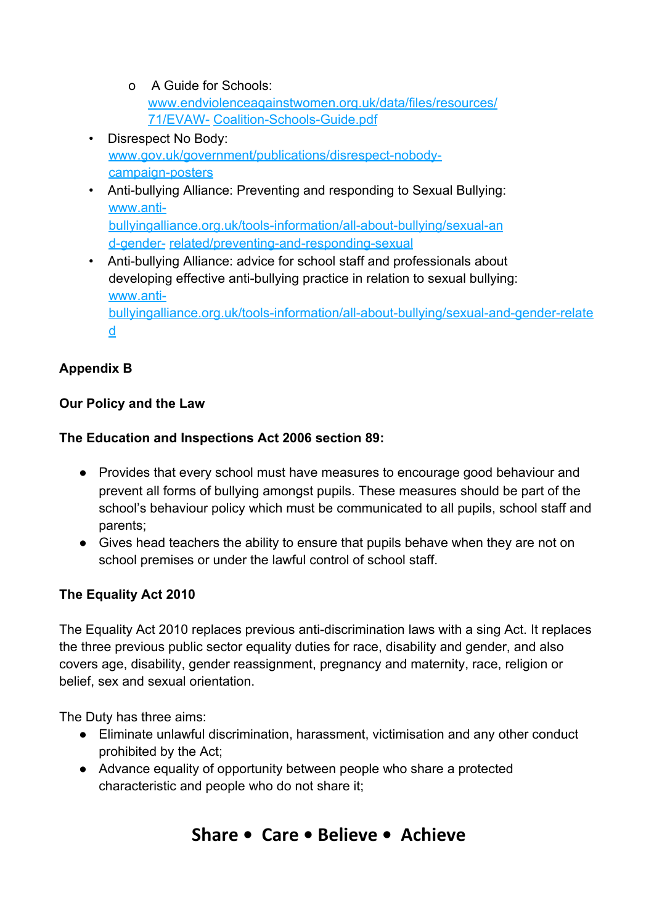- o A Guide for Schools: [www.endviolenceagainstwomen.org.uk/data/files/resources/](http://www.endviolenceagainstwomen.org.uk/data/files/resources/71/EVAW-Coalition-Schools-Guide.pdf) [71/EVAW-](http://www.endviolenceagainstwomen.org.uk/data/files/resources/71/EVAW-Coalition-Schools-Guide.pdf) [Coalition-Schools-Guide.pdf](http://www.endviolenceagainstwomen.org.uk/data/files/resources/71/EVAW-Coalition-Schools-Guide.pdf)
- Disrespect No Body: [www.gov.uk/government/publications/disrespect-nobody](http://www.gov.uk/government/publications/disrespect-nobody-campaign-posters)[campaign-posters](http://www.gov.uk/government/publications/disrespect-nobody-campaign-posters)
- Anti-bullying Alliance: Preventing and responding to Sexual Bullying: [www.anti](https://www.anti-bullyingalliance.org.uk/tools-information/all-about-bullying/sexual-and-gender-related/preventing-and-responding-sexual)[bullyingalliance.org.uk/tools-information/all-about-bullying/sexual-an](https://www.anti-bullyingalliance.org.uk/tools-information/all-about-bullying/sexual-and-gender-related/preventing-and-responding-sexual) [d-gender-](https://www.anti-bullyingalliance.org.uk/tools-information/all-about-bullying/sexual-and-gender-related/preventing-and-responding-sexual) [related/preventing-and-responding-sexual](https://www.anti-bullyingalliance.org.uk/tools-information/all-about-bullying/sexual-and-gender-related/preventing-and-responding-sexual)
- Anti-bullying Alliance: advice for school staff and professionals about developing effective anti-bullying practice in relation to sexual bullying: [www.anti](https://www.anti-bullyingalliance.org.uk/tools-information/all-about-bullying/sexual-and-gender-related)[bullyingalliance.org.uk/tools-information/all-about-bullying/sexual-and-gender-relate](https://www.anti-bullyingalliance.org.uk/tools-information/all-about-bullying/sexual-and-gender-related) [d](https://www.anti-bullyingalliance.org.uk/tools-information/all-about-bullying/sexual-and-gender-related)

# **Appendix B**

# **Our Policy and the Law**

# **The Education and Inspections Act 2006 section 89:**

- Provides that every school must have measures to encourage good behaviour and prevent all forms of bullying amongst pupils. These measures should be part of the school's behaviour policy which must be communicated to all pupils, school staff and parents;
- Gives head teachers the ability to ensure that pupils behave when they are not on school premises or under the lawful control of school staff.

# **The Equality Act 2010**

The Equality Act 2010 replaces previous anti-discrimination laws with a sing Act. It replaces the three previous public sector equality duties for race, disability and gender, and also covers age, disability, gender reassignment, pregnancy and maternity, race, religion or belief, sex and sexual orientation.

The Duty has three aims:

- Eliminate unlawful discrimination, harassment, victimisation and any other conduct prohibited by the Act;
- Advance equality of opportunity between people who share a protected characteristic and people who do not share it;